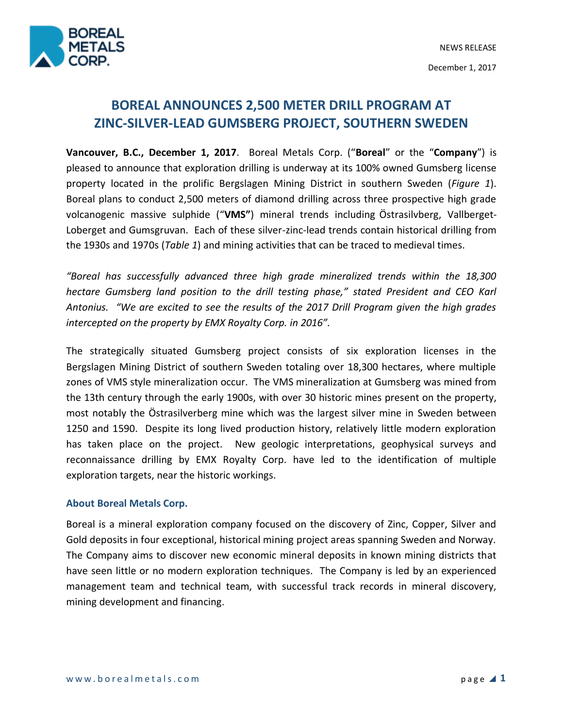

December 1, 2017

# **BOREAL ANNOUNCES 2,500 METER DRILL PROGRAM AT ZINC-SILVER-LEAD GUMSBERG PROJECT, SOUTHERN SWEDEN**

**Vancouver, B.C., December 1, 2017**. Boreal Metals Corp. ("**Boreal**" or the "**Company**") is pleased to announce that exploration drilling is underway at its 100% owned Gumsberg license property located in the prolific Bergslagen Mining District in southern Sweden (*Figure 1*). Boreal plans to conduct 2,500 meters of diamond drilling across three prospective high grade volcanogenic massive sulphide ("**VMS"**) mineral trends including Östrasilvberg, Vallberget-Loberget and Gumsgruvan. Each of these silver-zinc-lead trends contain historical drilling from the 1930s and 1970s (*Table 1*) and mining activities that can be traced to medieval times.

*"Boreal has successfully advanced three high grade mineralized trends within the 18,300 hectare Gumsberg land position to the drill testing phase," stated President and CEO Karl Antonius. "We are excited to see the results of the 2017 Drill Program given the high grades intercepted on the property by EMX Royalty Corp. in 2016".* 

The strategically situated Gumsberg project consists of six exploration licenses in the Bergslagen Mining District of southern Sweden totaling over 18,300 hectares, where multiple zones of VMS style mineralization occur. The VMS mineralization at Gumsberg was mined from the 13th century through the early 1900s, with over 30 historic mines present on the property, most notably the Östrasilverberg mine which was the largest silver mine in Sweden between 1250 and 1590. Despite its long lived production history, relatively little modern exploration has taken place on the project. New geologic interpretations, geophysical surveys and reconnaissance drilling by EMX Royalty Corp. have led to the identification of multiple exploration targets, near the historic workings.

## **About Boreal Metals Corp.**

Boreal is a mineral exploration company focused on the discovery of Zinc, Copper, Silver and Gold deposits in four exceptional, historical mining project areas spanning Sweden and Norway. The Company aims to discover new economic mineral deposits in known mining districts that have seen little or no modern exploration techniques. The Company is led by an experienced management team and technical team, with successful track records in mineral discovery, mining development and financing.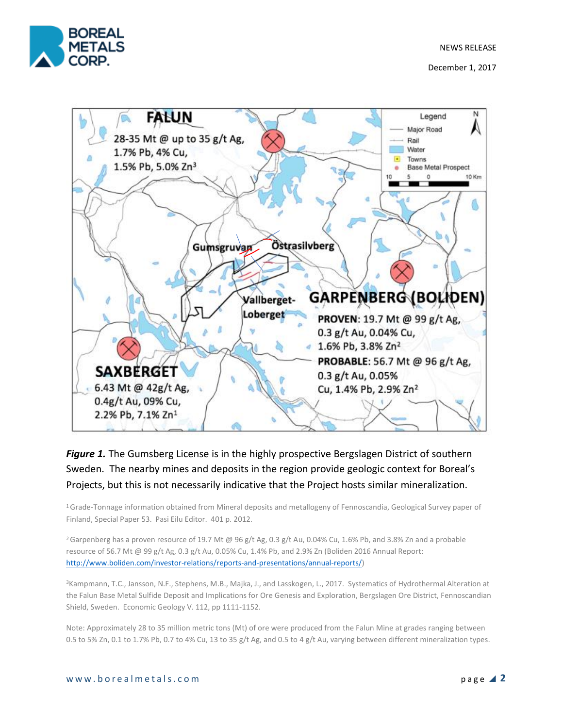NEWS RELEASE



December 1, 2017



## *Figure 1.* The Gumsberg License is in the highly prospective Bergslagen District of southern Sweden. The nearby mines and deposits in the region provide geologic context for Boreal's Projects, but this is not necessarily indicative that the Project hosts similar mineralization.

<sup>1</sup>Grade-Tonnage information obtained from Mineral deposits and metallogeny of Fennoscandia, Geological Survey paper of Finland, Special Paper 53. Pasi Eilu Editor. 401 p. 2012.

<sup>2</sup> Garpenberg has a proven resource of 19.7 Mt @ 96 g/t Ag, 0.3 g/t Au, 0.04% Cu, 1.6% Pb, and 3.8% Zn and a probable resource of 56.7 Mt @ 99 g/t Ag, 0.3 g/t Au, 0.05% Cu, 1.4% Pb, and 2.9% Zn (Boliden 2016 Annual Report: [http://www.boliden.com/investor-relations/reports-and-presentations/annual-reports/\)](http://www.boliden.com/investor-relations/reports-and-presentations/annual-reports/)

<sup>3</sup>Kampmann, T.C., Jansson, N.F., Stephens, M.B., Majka, J., and Lasskogen, L., 2017. Systematics of Hydrothermal Alteration at the Falun Base Metal Sulfide Deposit and Implications for Ore Genesis and Exploration, Bergslagen Ore District, Fennoscandian Shield, Sweden. Economic Geology V. 112, pp 1111-1152.

Note: Approximately 28 to 35 million metric tons (Mt) of ore were produced from the Falun Mine at grades ranging between 0.5 to 5% Zn, 0.1 to 1.7% Pb, 0.7 to 4% Cu, 13 to 35 g/t Ag, and 0.5 to 4 g/t Au, varying between different mineralization types.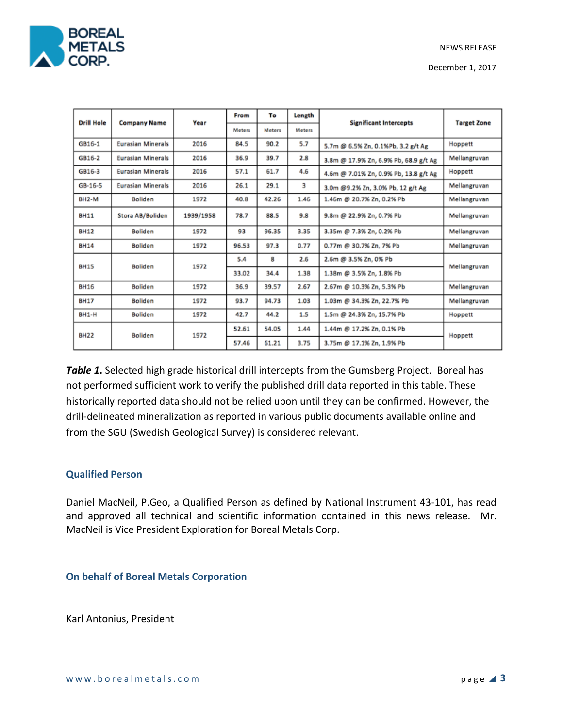

December 1, 2017

| <b>Drill Hole</b>  | <b>Company Name</b>      | Year      | From   | To            | Length | <b>Significant Intercepts</b>         | <b>Target Zone</b> |
|--------------------|--------------------------|-----------|--------|---------------|--------|---------------------------------------|--------------------|
|                    |                          |           | Meters | <b>Meters</b> | Meters |                                       |                    |
| GB16-1             | <b>Eurasian Minerals</b> | 2016      | 84.5   | 90.2          | 5.7    | 5.7m @ 6.5% Zn, 0.1%Pb, 3.2 g/t Ag    | Hoppett            |
| GB16-2             | <b>Eurasian Minerals</b> | 2016      | 36.9   | 39.7          | 2.8    | 3.8m @ 17.9% Zn, 6.9% Pb, 68.9 g/t Ag | Mellangruvan       |
| GB16-3             | <b>Eurasian Minerals</b> | 2016      | 57.1   | 61.7          | 4.6    | 4.6m @ 7.01% Zn, 0.9% Pb, 13.8 g/t Ag | Hoppett            |
| $GB-16-5$          | <b>Eurasian Minerals</b> | 2016      | 26.1   | 29.1          | з      | 3.0m @9.2% Zn, 3.0% Pb, 12 g/t Ag     | Mellangruvan       |
| BH <sub>2</sub> -M | <b>Boliden</b>           | 1972      | 40.8   | 42.26         | 1.46   | 1.46m @ 20.7% Zn, 0.2% Pb             | Mellangruvan       |
| <b>BH11</b>        | Stora AB/Boliden         | 1939/1958 | 78.7   | 88.5          | 9.8    | 9.8m @ 22.9% Zn, 0.7% Pb              | Mellangruvan       |
| <b>BH12</b>        | <b>Boliden</b>           | 1972      | 93     | 96.35         | 3.35   | 3.35m @ 7.3% Zn, 0.2% Pb              | Mellangruvan       |
| <b>BH14</b>        | <b>Boliden</b>           | 1972      | 96.53  | 97.3          | 0.77   | 0.77m @ 30.7% Zn, 7% Pb               | Mellangruvan       |
| <b>BH15</b>        | <b>Boliden</b>           | 1972      | 5.4    | 8             | 2.6    | 2.6m @ 3.5% Zn, 0% Pb                 | Mellangruvan       |
|                    |                          |           | 33.02  | 34.4          | 1.38   | 1.38m @ 3.5% Zn, 1.8% Pb              |                    |
| <b>BH16</b>        | Boliden                  | 1972      | 36.9   | 39.57         | 2.67   | 2.67m @ 10.3% Zn, 5.3% Pb             | Mellangruvan       |
| <b>BH17</b>        | <b>Boliden</b>           | 1972      | 93.7   | 94.73         | 1.03   | 1.03m @ 34.3% Zn, 22.7% Pb            | Mellangruvan       |
| <b>BH1-H</b>       | Boliden                  | 1972      | 42.7   | 44.2          | 1.5    | 1.5m @ 24.3% Zn, 15.7% Pb             | Hoppett            |
| <b>BH22</b>        | <b>Boliden</b>           | 1972      | 52.61  | 54.05         | 1.44   | 1.44m @ 17.2% Zn, 0.1% Pb             | Hoppett            |
|                    |                          |           | 57.46  | 61.21         | 3.75   | 3.75m @ 17.1% Zn, 1.9% Pb             |                    |

*Table 1***.** Selected high grade historical drill intercepts from the Gumsberg Project. Boreal has not performed sufficient work to verify the published drill data reported in this table. These historically reported data should not be relied upon until they can be confirmed. However, the drill-delineated mineralization as reported in various public documents available online and from the SGU (Swedish Geological Survey) is considered relevant.

## **Qualified Person**

Daniel MacNeil, P.Geo, a Qualified Person as defined by National Instrument 43-101, has read and approved all technical and scientific information contained in this news release. Mr. MacNeil is Vice President Exploration for Boreal Metals Corp.

**On behalf of Boreal Metals Corporation** 

Karl Antonius, President